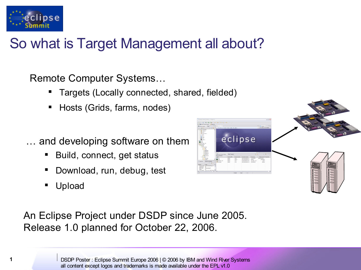

## So what is Target Management all about?

Remote Computer Systems…

- Targets (Locally connected, shared, fielded)
- Hosts (Grids, farms, nodes)
- … and developing software on them
	- Build, connect, get status
	- Download, run, debug, test
	- Upload

eclipse

An Eclipse Project under DSDP since June 2005. Release 1.0 planned for October 22, 2006.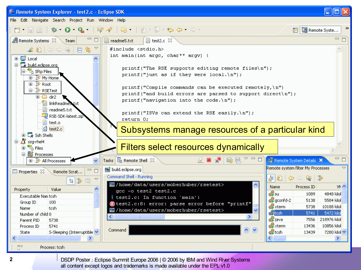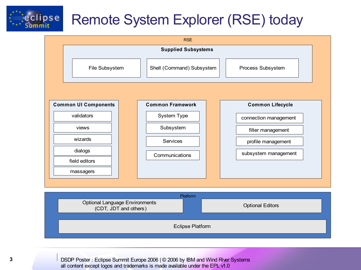

## Remote System Explorer (RSE) today



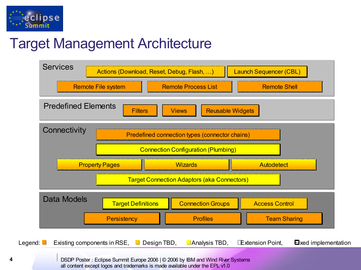

## Target Management Architecture

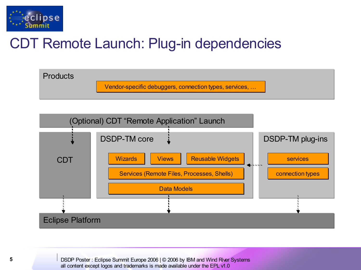

## CDT Remote Launch: Plug-in dependencies



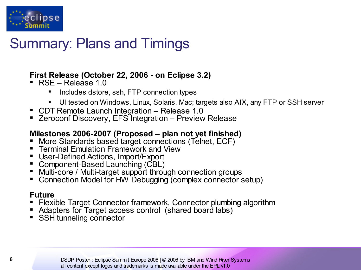

## Summary: Plans and Timings

### **First Release (October 22, 2006 - on Eclipse 3.2)**

- RSE Release 1.0
	- Includes dstore, ssh, FTP connection types
	- UI tested on Windows, Linux, Solaris, Mac; targets also AIX, any FTP or SSH server
- CDT Remote Launch Integration Release 1.0
- Zeroconf Discovery, EFS Integration Preview Release

#### **Milestones 2006-2007 (Proposed – plan not yet finished)**

- More Standards based target connections (Telnet, ECF)
- **Terminal Emulation Framework and View**
- User-Defined Actions, Import/Export
- Component-Based Launching (CBL)
- Multi-core / Multi-target support through connection groups
- Connection Model for HW Debugging (complex connector setup)

### **Future**

- Flexible Target Connector framework, Connector plumbing algorithm
- Adapters for Target access control (shared board labs)
- SSH tunneling connector